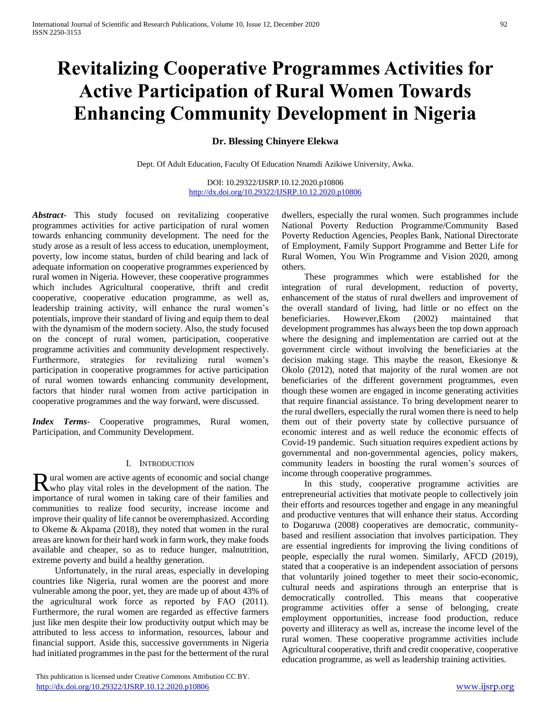# **Revitalizing Cooperative Programmes Activities for Active Participation of Rural Women Towards Enhancing Community Development in Nigeria**

**Dr. Blessing Chinyere Elekwa**

Dept. Of Adult Education, Faculty Of Education Nnamdi Azikiwe University, Awka.

DOI: 10.29322/IJSRP.10.12.2020.p10806 <http://dx.doi.org/10.29322/IJSRP.10.12.2020.p10806>

*Abstract***-** This study focused on revitalizing cooperative programmes activities for active participation of rural women towards enhancing community development. The need for the study arose as a result of less access to education, unemployment, poverty, low income status, burden of child bearing and lack of adequate information on cooperative programmes experienced by rural women in Nigeria. However, these cooperative programmes which includes Agricultural cooperative, thrift and credit cooperative, cooperative education programme, as well as, leadership training activity, will enhance the rural women's potentials, improve their standard of living and equip them to deal with the dynamism of the modern society. Also, the study focused on the concept of rural women, participation, cooperative programme activities and community development respectively. Furthermore, strategies for revitalizing rural women's participation in cooperative programmes for active participation of rural women towards enhancing community development, factors that hinder rural women from active participation in cooperative programmes and the way forward, were discussed.

*Index Terms*- Cooperative programmes, Rural women, Participation, and Community Development.

#### I. INTRODUCTION

ural women are active agents of economic and social change Rural women are active agents of economic and social change who play vital roles in the development of the nation. The importance of rural women in taking care of their families and communities to realize food security, increase income and improve their quality of life cannot be overemphasized. According to Okeme & Akpama (2018), they noted that women in the rural areas are known for their hard work in farm work, they make foods available and cheaper, so as to reduce hunger, malnutrition, extreme poverty and build a healthy generation.

 Unfortunately, in the rural areas, especially in developing countries like Nigeria, rural women are the poorest and more vulnerable among the poor, yet, they are made up of about 43% of the agricultural work force as reported by FAO (2011). Furthermore, the rural women are regarded as effective farmers just like men despite their low productivity output which may be attributed to less access to information, resources, labour and financial support. Aside this, successive governments in Nigeria had initiated programmes in the past for the betterment of the rural

 This publication is licensed under Creative Commons Attribution CC BY. <http://dx.doi.org/10.29322/IJSRP.10.12.2020.p10806> [www.ijsrp.org](http://ijsrp.org/)

dwellers, especially the rural women. Such programmes include National Poverty Reduction Programme/Community Based Poverty Reduction Agencies, Peoples Bank, National Directorate of Employment, Family Support Programme and Better Life for Rural Women, You Win Programme and Vision 2020, among others.

 These programmes which were established for the integration of rural development, reduction of poverty, enhancement of the status of rural dwellers and improvement of the overall standard of living, had little or no effect on the beneficiaries. However,Ekom (2002) maintained that development programmes has always been the top down approach where the designing and implementation are carried out at the government circle without involving the beneficiaries at the decision making stage. This maybe the reason, Ekesionye & Okolo (2012), noted that majority of the rural women are not beneficiaries of the different government programmes, even though these women are engaged in income generating activities that require financial assistance. To bring development nearer to the rural dwellers, especially the rural women there is need to help them out of their poverty state by collective pursuance of economic interest and as well reduce the economic effects of Covid-19 pandemic. Such situation requires expedient actions by governmental and non-governmental agencies, policy makers, community leaders in boosting the rural women's sources of income through cooperative programmes.

 In this study, cooperative programme activities are entrepreneurial activities that motivate people to collectively join their efforts and resources together and engage in any meaningful and productive ventures that will enhance their status. According to Dogaruwa (2008) cooperatives are democratic, communitybased and resilient association that involves participation. They are essential ingredients for improving the living conditions of people, especially the rural women. Similarly, AFCD (2019), stated that a cooperative is an independent association of persons that voluntarily joined together to meet their socio-economic, cultural needs and aspirations through an enterprise that is democratically controlled. This means that cooperative programme activities offer a sense of belonging, create employment opportunities, increase food production, reduce poverty and illiteracy as well as, increase the income level of the rural women. These cooperative programme activities include Agricultural cooperative, thrift and credit cooperative, cooperative education programme, as well as leadership training activities.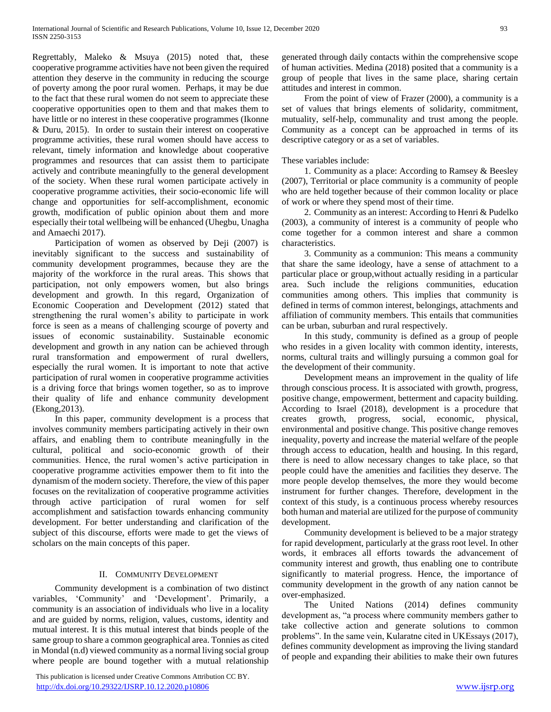Regrettably, Maleko & Msuya (2015) noted that, these cooperative programme activities have not been given the required attention they deserve in the community in reducing the scourge of poverty among the poor rural women. Perhaps, it may be due to the fact that these rural women do not seem to appreciate these cooperative opportunities open to them and that makes them to have little or no interest in these cooperative programmes (Ikonne & Duru, 2015). In order to sustain their interest on cooperative programme activities, these rural women should have access to relevant, timely information and knowledge about cooperative programmes and resources that can assist them to participate actively and contribute meaningfully to the general development of the society. When these rural women participate actively in cooperative programme activities, their socio-economic life will change and opportunities for self-accomplishment, economic growth, modification of public opinion about them and more especially their total wellbeing will be enhanced (Uhegbu, Unagha and Amaechi 2017).

 Participation of women as observed by Deji (2007) is inevitably significant to the success and sustainability of community development programmes, because they are the majority of the workforce in the rural areas. This shows that participation, not only empowers women, but also brings development and growth. In this regard, Organization of Economic Cooperation and Development (2012) stated that strengthening the rural women's ability to participate in work force is seen as a means of challenging scourge of poverty and issues of economic sustainability. Sustainable economic development and growth in any nation can be achieved through rural transformation and empowerment of rural dwellers, especially the rural women. It is important to note that active participation of rural women in cooperative programme activities is a driving force that brings women together, so as to improve their quality of life and enhance community development (Ekong,2013).

 In this paper, community development is a process that involves community members participating actively in their own affairs, and enabling them to contribute meaningfully in the cultural, political and socio-economic growth of their communities. Hence, the rural women's active participation in cooperative programme activities empower them to fit into the dynamism of the modern society. Therefore, the view of this paper focuses on the revitalization of cooperative programme activities through active participation of rural women for self accomplishment and satisfaction towards enhancing community development. For better understanding and clarification of the subject of this discourse, efforts were made to get the views of scholars on the main concepts of this paper.

## II. COMMUNITY DEVELOPMENT

 Community development is a combination of two distinct variables, 'Community' and 'Development'. Primarily, a community is an association of individuals who live in a locality and are guided by norms, religion, values, customs, identity and mutual interest. It is this mutual interest that binds people of the same group to share a common geographical area. Tonnies as cited in Mondal (n.d) viewed community as a normal living social group where people are bound together with a mutual relationship

 This publication is licensed under Creative Commons Attribution CC BY. <http://dx.doi.org/10.29322/IJSRP.10.12.2020.p10806> [www.ijsrp.org](http://ijsrp.org/)

generated through daily contacts within the comprehensive scope of human activities. Medina (2018) posited that a community is a group of people that lives in the same place, sharing certain attitudes and interest in common.

 From the point of view of Frazer (2000), a community is a set of values that brings elements of solidarity, commitment, mutuality, self-help, communality and trust among the people. Community as a concept can be approached in terms of its descriptive category or as a set of variables.

# These variables include:

 1. Community as a place: According to Ramsey & Beesley (2007), Territorial or place community is a community of people who are held together because of their common locality or place of work or where they spend most of their time.

 2. Community as an interest: According to Henri & Pudelko (2003), a community of interest is a community of people who come together for a common interest and share a common characteristics.

 3. Community as a communion: This means a community that share the same ideology, have a sense of attachment to a particular place or group,without actually residing in a particular area. Such include the religions communities, education communities among others. This implies that community is defined in terms of common interest, belongings, attachments and affiliation of community members. This entails that communities can be urban, suburban and rural respectively.

 In this study, community is defined as a group of people who resides in a given locality with common identity, interests, norms, cultural traits and willingly pursuing a common goal for the development of their community.

 Development means an improvement in the quality of life through conscious process. It is associated with growth, progress, positive change, empowerment, betterment and capacity building. According to Israel (2018), development is a procedure that creates growth, progress, social, economic, physical, environmental and positive change. This positive change removes inequality, poverty and increase the material welfare of the people through access to education, health and housing. In this regard, there is need to allow necessary changes to take place, so that people could have the amenities and facilities they deserve. The more people develop themselves, the more they would become instrument for further changes. Therefore, development in the context of this study, is a continuous process whereby resources both human and material are utilized for the purpose of community development.

 Community development is believed to be a major strategy for rapid development, particularly at the grass root level. In other words, it embraces all efforts towards the advancement of community interest and growth, thus enabling one to contribute significantly to material progress. Hence, the importance of community development in the growth of any nation cannot be over-emphasized.

 The United Nations (2014) defines community development as, "a process where community members gather to take collective action and generate solutions to common problems". In the same vein, Kularatne cited in UKEssays (2017), defines community development as improving the living standard of people and expanding their abilities to make their own futures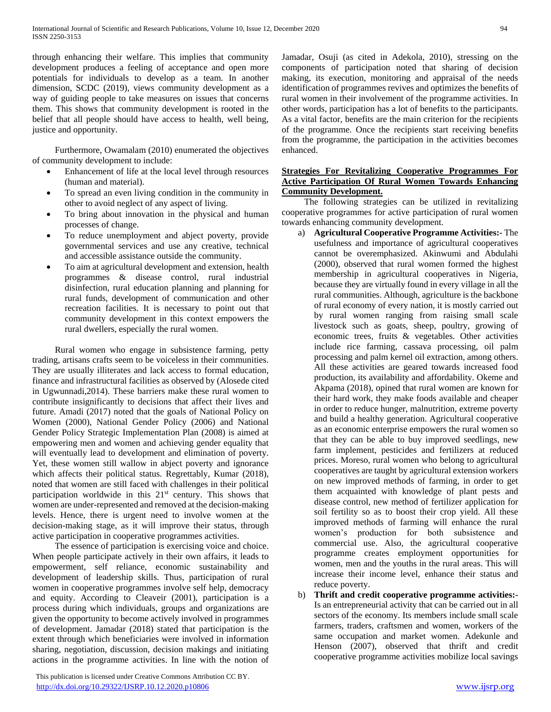through enhancing their welfare. This implies that community development produces a feeling of acceptance and open more potentials for individuals to develop as a team. In another dimension, SCDC (2019), views community development as a way of guiding people to take measures on issues that concerns them. This shows that community development is rooted in the belief that all people should have access to health, well being, justice and opportunity.

 Furthermore, Owamalam (2010) enumerated the objectives of community development to include:

- Enhancement of life at the local level through resources (human and material).
- To spread an even living condition in the community in other to avoid neglect of any aspect of living.
- To bring about innovation in the physical and human processes of change.
- To reduce unemployment and abject poverty, provide governmental services and use any creative, technical and accessible assistance outside the community.
- To aim at agricultural development and extension, health programmes & disease control, rural industrial disinfection, rural education planning and planning for rural funds, development of communication and other recreation facilities. It is necessary to point out that community development in this context empowers the rural dwellers, especially the rural women.

 Rural women who engage in subsistence farming, petty trading, artisans crafts seem to be voiceless in their communities. They are usually illiterates and lack access to formal education, finance and infrastructural facilities as observed by (Alosede cited in Ugwunnadi,2014). These barriers make these rural women to contribute insignificantly to decisions that affect their lives and future. Amadi (2017) noted that the goals of National Policy on Women (2000), National Gender Policy (2006) and National Gender Policy Strategic Implementation Plan (2008) is aimed at empowering men and women and achieving gender equality that will eventually lead to development and elimination of poverty. Yet, these women still wallow in abject poverty and ignorance which affects their political status. Regrettably, Kumar (2018), noted that women are still faced with challenges in their political participation worldwide in this  $21<sup>st</sup>$  century. This shows that women are under-represented and removed at the decision-making levels. Hence, there is urgent need to involve women at the decision-making stage, as it will improve their status, through active participation in cooperative programmes activities.

 The essence of participation is exercising voice and choice. When people participate actively in their own affairs, it leads to empowerment, self reliance, economic sustainability and development of leadership skills. Thus, participation of rural women in cooperative programmes involve self help, democracy and equity. According to Cleaveir (2001), participation is a process during which individuals, groups and organizations are given the opportunity to become actively involved in programmes of development. Jamadar (2018) stated that participation is the extent through which beneficiaries were involved in information sharing, negotiation, discussion, decision makings and initiating actions in the programme activities. In line with the notion of

 This publication is licensed under Creative Commons Attribution CC BY. <http://dx.doi.org/10.29322/IJSRP.10.12.2020.p10806> [www.ijsrp.org](http://ijsrp.org/)

Jamadar, Osuji (as cited in Adekola, 2010), stressing on the components of participation noted that sharing of decision making, its execution, monitoring and appraisal of the needs identification of programmes revives and optimizes the benefits of rural women in their involvement of the programme activities. In other words, participation has a lot of benefits to the participants. As a vital factor, benefits are the main criterion for the recipients of the programme. Once the recipients start receiving benefits from the programme, the participation in the activities becomes enhanced.

# **Strategies For Revitalizing Cooperative Programmes For Active Participation Of Rural Women Towards Enhancing Community Development.**

 The following strategies can be utilized in revitalizing cooperative programmes for active participation of rural women towards enhancing community development.

- a) **Agricultural Cooperative Programme Activities:-** The usefulness and importance of agricultural cooperatives cannot be overemphasized. Akinwumi and Abdulahi (2000), observed that rural women formed the highest membership in agricultural cooperatives in Nigeria, because they are virtually found in every village in all the rural communities. Although, agriculture is the backbone of rural economy of every nation, it is mostly carried out by rural women ranging from raising small scale livestock such as goats, sheep, poultry, growing of economic trees, fruits & vegetables. Other activities include rice farming, cassava processing, oil palm processing and palm kernel oil extraction, among others. All these activities are geared towards increased food production, its availability and affordability. Okeme and Akpama (2018), opined that rural women are known for their hard work, they make foods available and cheaper in order to reduce hunger, malnutrition, extreme poverty and build a healthy generation. Agricultural cooperative as an economic enterprise empowers the rural women so that they can be able to buy improved seedlings, new farm implement, pesticides and fertilizers at reduced prices. Moreso, rural women who belong to agricultural cooperatives are taught by agricultural extension workers on new improved methods of farming, in order to get them acquainted with knowledge of plant pests and disease control, new method of fertilizer application for soil fertility so as to boost their crop yield. All these improved methods of farming will enhance the rural women's production for both subsistence and commercial use. Also, the agricultural cooperative programme creates employment opportunities for women, men and the youths in the rural areas. This will increase their income level, enhance their status and reduce poverty.
- b) **Thrift and credit cooperative programme activities:-** Is an entrepreneurial activity that can be carried out in all sectors of the economy. Its members include small scale farmers, traders, craftsmen and women, workers of the same occupation and market women. Adekunle and Henson (2007), observed that thrift and credit cooperative programme activities mobilize local savings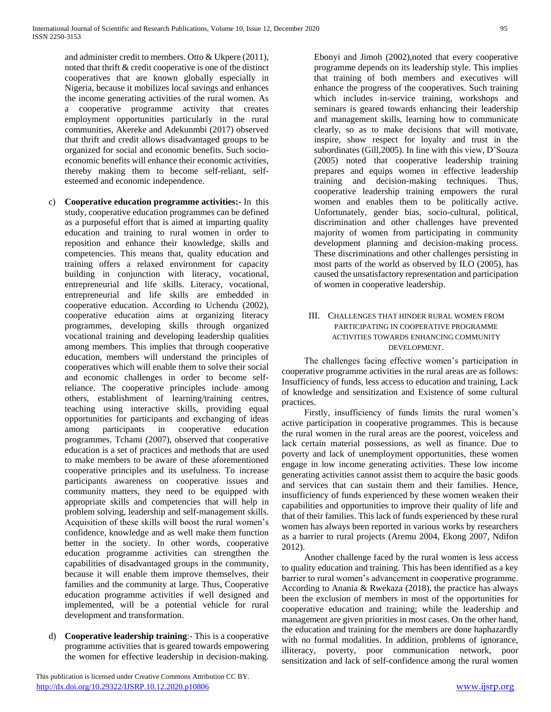and administer credit to members. Otto & Ukpere (2011), noted that thrift & credit cooperative is one of the distinct cooperatives that are known globally especially in Nigeria, because it mobilizes local savings and enhances the income generating activities of the rural women. As a cooperative programme activity that creates employment opportunities particularly in the rural communities, Akereke and Adekunmbi (2017) observed that thrift and credit allows disadvantaged groups to be organized for social and economic benefits. Such socioeconomic benefits will enhance their economic activities, thereby making them to become self-reliant, selfesteemed and economic independence.

- c) **Cooperative education programme activities:-** In this study, cooperative education programmes can be defined as a purposeful effort that is aimed at imparting quality education and training to rural women in order to reposition and enhance their knowledge, skills and competencies. This means that, quality education and training offers a relaxed environment for capacity building in conjunction with literacy, vocational, entrepreneurial and life skills. Literacy, vocational, entrepreneurial and life skills are embedded in cooperative education. According to Uchendu (2002), cooperative education aims at organizing literacy programmes, developing skills through organized vocational training and developing leadership qualities among members. This implies that through cooperative education, members will understand the principles of cooperatives which will enable them to solve their social and economic challenges in order to become selfreliance. The cooperative principles include among others, establishment of learning/training centres, teaching using interactive skills, providing equal opportunities for participants and exchanging of ideas among participants in cooperative education programmes. Tchami (2007), observed that cooperative education is a set of practices and methods that are used to make members to be aware of these aforementioned cooperative principles and its usefulness. To increase participants awareness on cooperative issues and community matters, they need to be equipped with appropriate skills and competencies that will help in problem solving, leadership and self-management skills. Acquisition of these skills will boost the rural women's confidence, knowledge and as well make them function better in the society. In other words, cooperative education programme activities can strengthen the capabilities of disadvantaged groups in the community, because it will enable them improve themselves, their families and the community at large. Thus, Cooperative education programme activities if well designed and implemented, will be a potential vehicle for rural development and transformation.
- d) **Cooperative leadership training**:- This is a cooperative programme activities that is geared towards empowering the women for effective leadership in decision-making.

Ebonyi and Jimoh (2002),noted that every cooperative programme depends on its leadership style. This implies that training of both members and executives will enhance the progress of the cooperatives. Such training which includes in-service training, workshops and seminars is geared towards enhancing their leadership and management skills, learning how to communicate clearly, so as to make decisions that will motivate, inspire, show respect for loyalty and trust in the subordinates (Gill,2005). In line with this view, D'Souza (2005) noted that cooperative leadership training prepares and equips women in effective leadership training and decision-making techniques. Thus, cooperative leadership training empowers the rural women and enables them to be politically active. Unfortunately, gender bias, socio-cultural, political, discrimination and other challenges have prevented majority of women from participating in community development planning and decision-making process. These discriminations and other challenges persisting in most parts of the world as observed by ILO (2005), has caused the unsatisfactory representation and participation of women in cooperative leadership.

# III. CHALLENGES THAT HINDER RURAL WOMEN FROM PARTICIPATING IN COOPERATIVE PROGRAMME ACTIVITIES TOWARDS ENHANCING COMMUNITY DEVELOPMENT.

 The challenges facing effective women's participation in cooperative programme activities in the rural areas are as follows: Insufficiency of funds, less access to education and training, Lack of knowledge and sensitization and Existence of some cultural practices.

 Firstly, insufficiency of funds limits the rural women's active participation in cooperative programmes. This is because the rural women in the rural areas are the poorest, voiceless and lack certain material possessions, as well as finance. Due to poverty and lack of unemployment opportunities, these women engage in low income generating activities. These low income generating activities cannot assist them to acquire the basic goods and services that can sustain them and their families. Hence, insufficiency of funds experienced by these women weaken their capabilities and opportunities to improve their quality of life and that of their families. This lack of funds experienced by these rural women has always been reported in various works by researchers as a barrier to rural projects (Aremu 2004, Ekong 2007, Ndifon 2012).

 Another challenge faced by the rural women is less access to quality education and training. This has been identified as a key barrier to rural women's advancement in cooperative programme. According to Anania & Rwekaza (2018), the practice has always been the exclusion of members in most of the opportunities for cooperative education and training; while the leadership and management are given priorities in most cases. On the other hand, the education and training for the members are done haphazardly with no formal modalities. In addition, problems of ignorance, illiteracy, poverty, poor communication network, poor sensitization and lack of self-confidence among the rural women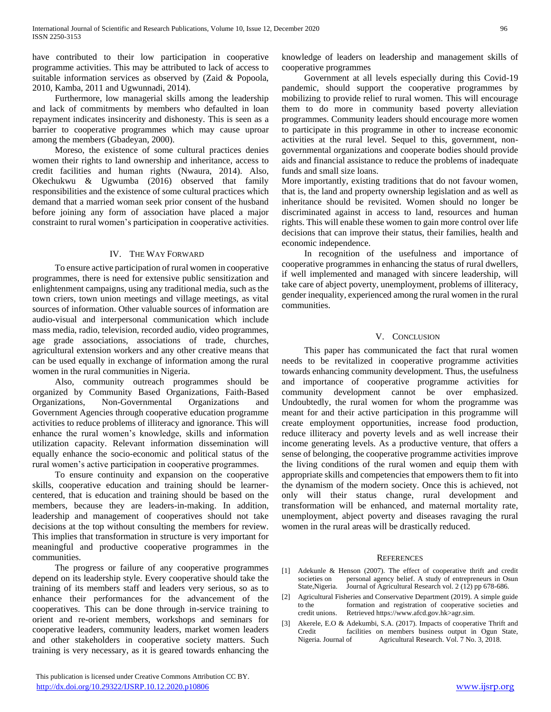have contributed to their low participation in cooperative programme activities. This may be attributed to lack of access to suitable information services as observed by (Zaid & Popoola, 2010, Kamba, 2011 and Ugwunnadi, 2014).

 Furthermore, low managerial skills among the leadership and lack of commitments by members who defaulted in loan repayment indicates insincerity and dishonesty. This is seen as a barrier to cooperative programmes which may cause uproar among the members (Gbadeyan, 2000).

 Moreso, the existence of some cultural practices denies women their rights to land ownership and inheritance, access to credit facilities and human rights (Nwaura, 2014). Also, Okechukwu & Ugwumba (2016) observed that family responsibilities and the existence of some cultural practices which demand that a married woman seek prior consent of the husband before joining any form of association have placed a major constraint to rural women's participation in cooperative activities.

## IV. THE WAY FORWARD

 To ensure active participation of rural women in cooperative programmes, there is need for extensive public sensitization and enlightenment campaigns, using any traditional media, such as the town criers, town union meetings and village meetings, as vital sources of information. Other valuable sources of information are audio-visual and interpersonal communication which include mass media, radio, television, recorded audio, video programmes, age grade associations, associations of trade, churches, agricultural extension workers and any other creative means that can be used equally in exchange of information among the rural women in the rural communities in Nigeria.

 Also, community outreach programmes should be organized by Community Based Organizations, Faith-Based Organizations, Non-Governmental Organizations and Government Agencies through cooperative education programme activities to reduce problems of illiteracy and ignorance. This will enhance the rural women's knowledge, skills and information utilization capacity. Relevant information dissemination will equally enhance the socio-economic and political status of the rural women's active participation in cooperative programmes.

 To ensure continuity and expansion on the cooperative skills, cooperative education and training should be learnercentered, that is education and training should be based on the members, because they are leaders-in-making. In addition, leadership and management of cooperatives should not take decisions at the top without consulting the members for review. This implies that transformation in structure is very important for meaningful and productive cooperative programmes in the communities.

 The progress or failure of any cooperative programmes depend on its leadership style. Every cooperative should take the training of its members staff and leaders very serious, so as to enhance their performances for the advancement of the cooperatives. This can be done through in-service training to orient and re-orient members, workshops and seminars for cooperative leaders, community leaders, market women leaders and other stakeholders in cooperative society matters. Such training is very necessary, as it is geared towards enhancing the knowledge of leaders on leadership and management skills of cooperative programmes

 Government at all levels especially during this Covid-19 pandemic, should support the cooperative programmes by mobilizing to provide relief to rural women. This will encourage them to do more in community based poverty alleviation programmes. Community leaders should encourage more women to participate in this programme in other to increase economic activities at the rural level. Sequel to this, government, nongovernmental organizations and cooperate bodies should provide aids and financial assistance to reduce the problems of inadequate funds and small size loans.

More importantly, existing traditions that do not favour women, that is, the land and property ownership legislation and as well as inheritance should be revisited. Women should no longer be discriminated against in access to land, resources and human rights. This will enable these women to gain more control over life decisions that can improve their status, their families, health and economic independence.

 In recognition of the usefulness and importance of cooperative programmes in enhancing the status of rural dwellers, if well implemented and managed with sincere leadership, will take care of abject poverty, unemployment, problems of illiteracy, gender inequality, experienced among the rural women in the rural communities.

## V. CONCLUSION

 This paper has communicated the fact that rural women needs to be revitalized in cooperative programme activities towards enhancing community development. Thus, the usefulness and importance of cooperative programme activities for community development cannot be over emphasized. Undoubtedly, the rural women for whom the programme was meant for and their active participation in this programme will create employment opportunities, increase food production, reduce illiteracy and poverty levels and as well increase their income generating levels. As a productive venture, that offers a sense of belonging, the cooperative programme activities improve the living conditions of the rural women and equip them with appropriate skills and competencies that empowers them to fit into the dynamism of the modern society. Once this is achieved, not only will their status change, rural development and transformation will be enhanced, and maternal mortality rate, unemployment, abject poverty and diseases ravaging the rural women in the rural areas will be drastically reduced.

## **REFERENCES**

- [1] Adekunle & Henson (2007). The effect of cooperative thrift and credit societies on personal agency belief. A study of entrepreneurs in Osun State,Nigeria. Journal of Agricultural Research vol. 2 (12) pp 678-686.
- [2] Agricultural Fisheries and Conservative Department (2019). A simple guide to the formation and registration of cooperative societies and credit unions. Retrieved https://www.afcd.gov.hk>agr.sim.
- [3] Akerele, E.O & Adekumbi, S.A. (2017). Impacts of cooperative Thrift and facilities on members business output in Ogun State, Nigeria. Journal of Agricultural Research. Vol. 7 No. 3, 2018.